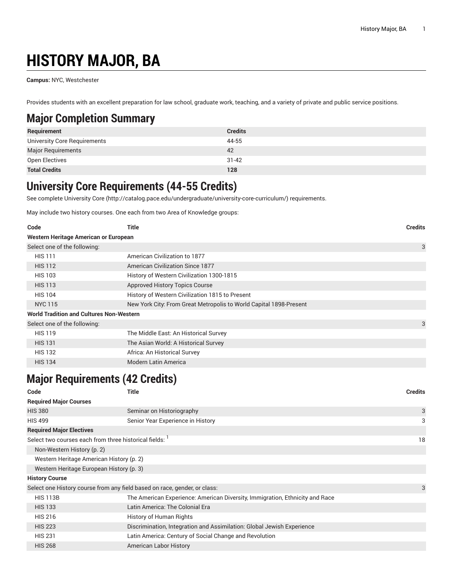# **HISTORY MAJOR, BA**

**Campus:** NYC, Westchester

Provides students with an excellent preparation for law school, graduate work, teaching, and a variety of private and public service positions.

## **Major Completion Summary**

| Requirement                  | <b>Credits</b> |
|------------------------------|----------------|
| University Core Requirements | 44-55          |
| <b>Major Requirements</b>    | 42             |
| Open Electives               | $31 - 42$      |
| <b>Total Credits</b>         | 128            |

### **University Core Requirements (44-55 Credits)**

See complete [University](http://catalog.pace.edu/undergraduate/university-core-curriculum/) Core (<http://catalog.pace.edu/undergraduate/university-core-curriculum/>) requirements.

May include two history courses. One each from two Area of Knowledge groups:

| Code                                            | Title                                                              | <b>Credits</b> |
|-------------------------------------------------|--------------------------------------------------------------------|----------------|
| Western Heritage American or European           |                                                                    |                |
| Select one of the following:                    |                                                                    | 3              |
| <b>HIS 111</b>                                  | American Civilization to 1877                                      |                |
| <b>HIS 112</b>                                  | American Civilization Since 1877                                   |                |
| <b>HIS 103</b>                                  | History of Western Civilization 1300-1815                          |                |
| <b>HIS 113</b>                                  | <b>Approved History Topics Course</b>                              |                |
| <b>HIS 104</b>                                  | History of Western Civilization 1815 to Present                    |                |
| <b>NYC 115</b>                                  | New York City: From Great Metropolis to World Capital 1898-Present |                |
| <b>World Tradition and Cultures Non-Western</b> |                                                                    |                |
| Select one of the following:                    |                                                                    | 3              |
| <b>HIS 119</b>                                  | The Middle East: An Historical Survey                              |                |
| <b>HIS 131</b>                                  | The Asian World: A Historical Survey                               |                |
| <b>HIS 132</b>                                  | Africa: An Historical Survey                                       |                |
| <b>HIS 134</b>                                  | <b>Modern Latin America</b>                                        |                |

## **Major Requirements (42 Credits)**

| Code                            | Title                                                                        | <b>Credits</b> |
|---------------------------------|------------------------------------------------------------------------------|----------------|
| <b>Required Major Courses</b>   |                                                                              |                |
| <b>HIS 380</b>                  | Seminar on Historiography                                                    | 3              |
| <b>HIS 499</b>                  | Senior Year Experience in History                                            | 3              |
| <b>Required Major Electives</b> |                                                                              |                |
|                                 | Select two courses each from three historical fields: 1                      | 18             |
| Non-Western History (p. 2)      |                                                                              |                |
|                                 | Western Heritage American History (p. 2)                                     |                |
|                                 | Western Heritage European History (p. 3)                                     |                |
| <b>History Course</b>           |                                                                              |                |
|                                 | Select one History course from any field based on race, gender, or class:    | 3              |
| <b>HIS 113B</b>                 | The American Experience: American Diversity, Immigration, Ethnicity and Race |                |
| <b>HIS 133</b>                  | Latin America: The Colonial Era                                              |                |
| <b>HIS 216</b>                  | History of Human Rights                                                      |                |
| <b>HIS 223</b>                  | Discrimination, Integration and Assimilation: Global Jewish Experience       |                |
| <b>HIS 231</b>                  | Latin America: Century of Social Change and Revolution                       |                |
| <b>HIS 268</b>                  | <b>American Labor History</b>                                                |                |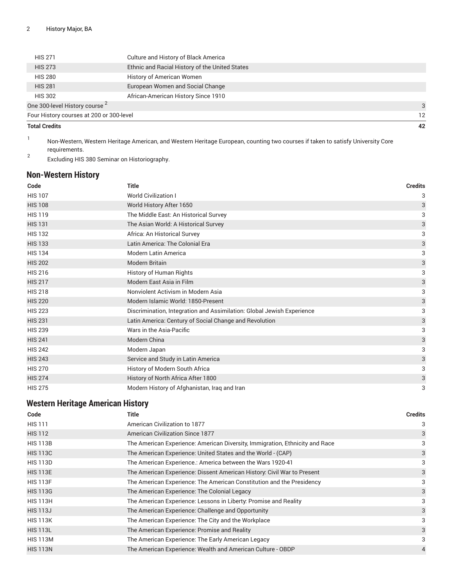| <b>Total Credits</b>                     |                                                | 42 |
|------------------------------------------|------------------------------------------------|----|
| Four History courses at 200 or 300-level |                                                | 12 |
| One 300-level History course 2           |                                                | 3  |
| <b>HIS 302</b>                           | African-American History Since 1910            |    |
| <b>HIS 281</b>                           | European Women and Social Change               |    |
| <b>HIS 280</b>                           | <b>History of American Women</b>               |    |
| <b>HIS 273</b>                           | Ethnic and Racial History of the United States |    |
| <b>HIS 271</b>                           | Culture and History of Black America           |    |
|                                          |                                                |    |

1 Non-Western, Western Heritage American, and Western Heritage European, counting two courses if taken to satisfy University Core requirements.

2 Excluding HIS 380 Seminar on Historiography.

#### <span id="page-1-0"></span>**Non-Western History**

| Code           | <b>Title</b>                                                           | <b>Credits</b> |
|----------------|------------------------------------------------------------------------|----------------|
| <b>HIS 107</b> | <b>World Civilization I</b>                                            | 3              |
| <b>HIS 108</b> | World History After 1650                                               | 3              |
| <b>HIS 119</b> | The Middle East: An Historical Survey                                  | 3              |
| <b>HIS 131</b> | The Asian World: A Historical Survey                                   | 3              |
| <b>HIS 132</b> | Africa: An Historical Survey                                           | 3              |
| <b>HIS 133</b> | Latin America: The Colonial Era                                        | 3              |
| <b>HIS 134</b> | <b>Modern Latin America</b>                                            | 3              |
| <b>HIS 202</b> | Modern Britain                                                         | 3              |
| <b>HIS 216</b> | History of Human Rights                                                | 3              |
| <b>HIS 217</b> | Modern East Asia in Film                                               | 3              |
| <b>HIS 218</b> | Nonviolent Activism in Modern Asia                                     | 3              |
| <b>HIS 220</b> | Modern Islamic World: 1850-Present                                     | 3              |
| <b>HIS 223</b> | Discrimination, Integration and Assimilation: Global Jewish Experience | 3              |
| <b>HIS 231</b> | Latin America: Century of Social Change and Revolution                 | 3              |
| <b>HIS 239</b> | Wars in the Asia-Pacific                                               | 3              |
| <b>HIS 241</b> | Modern China                                                           | 3              |
| <b>HIS 242</b> | Modern Japan                                                           | 3              |
| <b>HIS 243</b> | Service and Study in Latin America                                     | 3              |
| <b>HIS 270</b> | History of Modern South Africa                                         | 3              |
| <b>HIS 274</b> | History of North Africa After 1800                                     | 3              |
| <b>HIS 275</b> | Modern History of Afghanistan, Iraq and Iran                           | 3              |

#### <span id="page-1-1"></span>**Western Heritage American History**

| Code            | Title                                                                        | <b>Credits</b> |
|-----------------|------------------------------------------------------------------------------|----------------|
| <b>HIS 111</b>  | American Civilization to 1877                                                | 3              |
| <b>HIS 112</b>  | <b>American Civilization Since 1877</b>                                      | 3              |
| <b>HIS 113B</b> | The American Experience: American Diversity, Immigration, Ethnicity and Race | 3              |
| <b>HIS 113C</b> | The American Experience: United States and the World - (CAP)                 | 3              |
| <b>HIS 113D</b> | The American Experience.: America between the Wars 1920-41                   | 3              |
| <b>HIS 113E</b> | The American Experience: Dissent American History: Civil War to Present      | 3              |
| <b>HIS 113F</b> | The American Experience: The American Constitution and the Presidency        | 3              |
| <b>HIS 113G</b> | The American Experience: The Colonial Legacy                                 | 3              |
| <b>HIS 113H</b> | The American Experience: Lessons in Liberty: Promise and Reality             | 3              |
| <b>HIS 113J</b> | The American Experience: Challenge and Opportunity                           | 3              |
| <b>HIS 113K</b> | The American Experience: The City and the Workplace                          | 3              |
| <b>HIS 113L</b> | The American Experience: Promise and Reality                                 | 3              |
| <b>HIS 113M</b> | The American Experience: The Early American Legacy                           | 3              |
| <b>HIS 113N</b> | The American Experience: Wealth and American Culture - OBDP                  | 4              |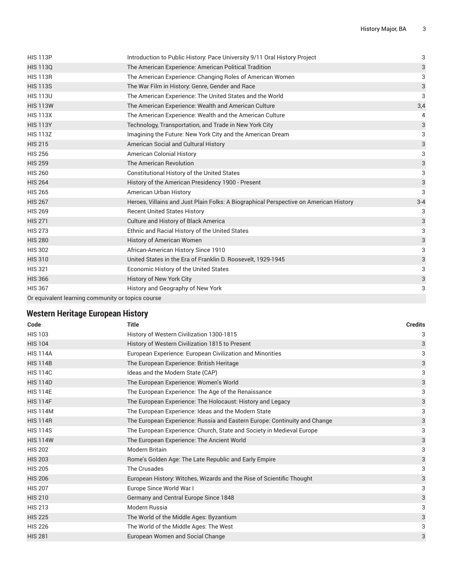| <b>HIS 113P</b>                                   | Introduction to Public History: Pace University 9/11 Oral History Project             | 3                         |
|---------------------------------------------------|---------------------------------------------------------------------------------------|---------------------------|
| <b>HIS 1130</b>                                   | The American Experience: American Political Tradition                                 | 3                         |
| <b>HIS 113R</b>                                   | The American Experience: Changing Roles of American Women                             | 3                         |
| <b>HIS 113S</b>                                   | The War Film in History: Genre, Gender and Race                                       | $\ensuremath{\mathsf{3}}$ |
| <b>HIS 113U</b>                                   | The American Experience: The United States and the World                              | 3                         |
| <b>HIS 113W</b>                                   | The American Experience: Wealth and American Culture                                  | 3,4                       |
| <b>HIS 113X</b>                                   | The American Experience: Wealth and the American Culture                              | 4                         |
| <b>HIS 113Y</b>                                   | Technology, Transportation, and Trade in New York City                                | $\ensuremath{\mathsf{3}}$ |
| <b>HIS 113Z</b>                                   | Imagining the Future: New York City and the American Dream                            | 3                         |
| <b>HIS 215</b>                                    | American Social and Cultural History                                                  | $\ensuremath{\mathsf{3}}$ |
| <b>HIS 256</b>                                    | <b>American Colonial History</b>                                                      | 3                         |
| <b>HIS 259</b>                                    | The American Revolution                                                               | $\ensuremath{\mathsf{3}}$ |
| <b>HIS 260</b>                                    | Constitutional History of the United States                                           | 3                         |
| <b>HIS 264</b>                                    | History of the American Presidency 1900 - Present                                     | 3                         |
| <b>HIS 265</b>                                    | American Urban History                                                                | 3                         |
| <b>HIS 267</b>                                    | Heroes, Villains and Just Plain Folks: A Biographical Perspective on American History | $3 - 4$                   |
| <b>HIS 269</b>                                    | <b>Recent United States History</b>                                                   | 3                         |
| <b>HIS 271</b>                                    | Culture and History of Black America                                                  | 3                         |
| <b>HIS 273</b>                                    | Ethnic and Racial History of the United States                                        | 3                         |
| <b>HIS 280</b>                                    | History of American Women                                                             | $\ensuremath{\mathsf{3}}$ |
| <b>HIS 302</b>                                    | African-American History Since 1910                                                   | 3                         |
| <b>HIS 310</b>                                    | United States in the Era of Franklin D. Roosevelt, 1929-1945                          | 3                         |
| <b>HIS 321</b>                                    | Economic History of the United States                                                 | 3                         |
| <b>HIS 366</b>                                    | History of New York City                                                              | $\ensuremath{\mathsf{3}}$ |
| <b>HIS 367</b>                                    | History and Geography of New York                                                     | 3                         |
| Or equivalent learning community or topics course |                                                                                       |                           |

#### <span id="page-2-0"></span>**Western Heritage European History**

| Code            | <b>Title</b>                                                              | <b>Credits</b>            |
|-----------------|---------------------------------------------------------------------------|---------------------------|
| <b>HIS 103</b>  | History of Western Civilization 1300-1815                                 | 3                         |
| <b>HIS 104</b>  | History of Western Civilization 1815 to Present                           | 3                         |
| <b>HIS 114A</b> | European Experience: European Civilization and Minorities                 | 3                         |
| <b>HIS 114B</b> | The European Experience: British Heritage                                 | 3                         |
| <b>HIS 114C</b> | Ideas and the Modern State (CAP)                                          | 3                         |
| <b>HIS 114D</b> | The European Experience: Women's World                                    | 3                         |
| <b>HIS 114E</b> | The European Experience: The Age of the Renaissance                       | 3                         |
| <b>HIS 114F</b> | The European Experience: The Holocaust: History and Legacy                | $\mathsf{3}$              |
| <b>HIS 114M</b> | The European Experience: Ideas and the Modern State                       | 3                         |
| <b>HIS 114R</b> | The European Experience: Russia and Eastern Europe: Continuity and Change | 3                         |
| <b>HIS 114S</b> | The European Experience: Church, State and Society in Medieval Europe     | 3                         |
| <b>HIS 114W</b> | The European Experience: The Ancient World                                | 3                         |
| <b>HIS 202</b>  | <b>Modern Britain</b>                                                     | 3                         |
| <b>HIS 203</b>  | Rome's Golden Age: The Late Republic and Early Empire                     | $\ensuremath{\mathsf{3}}$ |
| <b>HIS 205</b>  | The Crusades                                                              | 3                         |
| <b>HIS 206</b>  | European History: Witches, Wizards and the Rise of Scientific Thought     | 3                         |
| <b>HIS 207</b>  | Europe Since World War I                                                  | 3                         |
| <b>HIS 210</b>  | Germany and Central Europe Since 1848                                     | 3                         |
| <b>HIS 213</b>  | Modern Russia                                                             | 3                         |
| <b>HIS 225</b>  | The World of the Middle Ages: Byzantium                                   | 3                         |
| <b>HIS 226</b>  | The World of the Middle Ages: The West                                    | 3                         |
| <b>HIS 281</b>  | European Women and Social Change                                          | 3                         |
|                 |                                                                           |                           |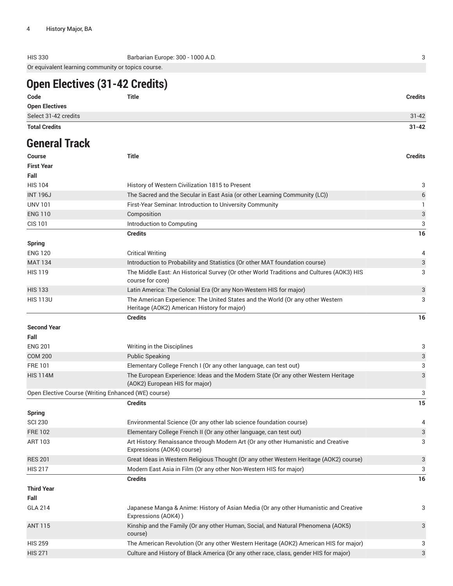HIS 330 Barbarian Europe: 300 - 1000 A.D. 3 Or equivalent learning community or topics course.

## **Open Electives (31-42 Credits)**

| <b>Total Credits</b>  |       | $31 - 42$      |
|-----------------------|-------|----------------|
| Select 31-42 credits  |       | $31 - 42$      |
| <b>Open Electives</b> |       |                |
| Code                  | Title | <b>Credits</b> |

## **General Track**

| <b>Course</b>              | Title                                                                                                                         | <b>Credits</b> |
|----------------------------|-------------------------------------------------------------------------------------------------------------------------------|----------------|
| <b>First Year</b>          |                                                                                                                               |                |
| Fall                       |                                                                                                                               |                |
| <b>HIS 104</b>             | History of Western Civilization 1815 to Present                                                                               | 3              |
| <b>INT 196J</b>            | The Sacred and the Secular in East Asia (or other Learning Community (LC))                                                    | 6              |
| <b>UNV 101</b>             | First-Year Seminar. Introduction to University Community                                                                      | 1              |
| <b>ENG 110</b>             | Composition                                                                                                                   | 3              |
| <b>CIS 101</b>             | Introduction to Computing                                                                                                     | 3              |
|                            | <b>Credits</b>                                                                                                                | 16             |
| <b>Spring</b>              |                                                                                                                               |                |
| <b>ENG 120</b>             | <b>Critical Writing</b>                                                                                                       | 4              |
| <b>MAT 134</b>             | Introduction to Probability and Statistics (Or other MAT foundation course)                                                   | 3              |
| <b>HIS 119</b>             | The Middle East: An Historical Survey (Or other World Traditions and Cultures (AOK3) HIS<br>course for core)                  | 3              |
| <b>HIS 133</b>             | Latin America: The Colonial Era (Or any Non-Western HIS for major)                                                            | 3              |
| <b>HIS 113U</b>            | The American Experience: The United States and the World (Or any other Western<br>Heritage (AOK2) American History for major) | 3              |
|                            | <b>Credits</b>                                                                                                                | 16             |
| <b>Second Year</b><br>Fall |                                                                                                                               |                |
| <b>ENG 201</b>             | Writing in the Disciplines                                                                                                    | 3              |
| <b>COM 200</b>             | <b>Public Speaking</b>                                                                                                        | 3              |
| <b>FRE101</b>              | Elementary College French I (Or any other language, can test out)                                                             | 3              |
| <b>HIS 114M</b>            | The European Experience: Ideas and the Modern State (Or any other Western Heritage<br>(AOK2) European HIS for major)          | 3              |
|                            | Open Elective Course (Writing Enhanced (WE) course)                                                                           | 3              |
|                            | <b>Credits</b>                                                                                                                | 15             |
| <b>Spring</b>              |                                                                                                                               |                |
| <b>SCI 230</b>             | Environmental Science (Or any other lab science foundation course)                                                            | 4              |
| <b>FRE 102</b>             | Elementary College French II (Or any other language, can test out)                                                            | 3              |
| <b>ART 103</b>             | Art History: Renaissance through Modern Art (Or any other Humanistic and Creative<br>Expressions (AOK4) course)               | 3              |
| <b>RES 201</b>             | Great Ideas in Western Religious Thought (Or any other Western Heritage (AOK2) course)                                        | 3              |
| <b>HIS 217</b>             | Modern East Asia in Film (Or any other Non-Western HIS for major)                                                             | 3              |
|                            | <b>Credits</b>                                                                                                                | 16             |
| <b>Third Year</b>          |                                                                                                                               |                |
| Fall                       |                                                                                                                               |                |
| <b>GLA 214</b>             | Japanese Manga & Anime: History of Asian Media (Or any other Humanistic and Creative<br>Expressions (AOK4))                   | 3              |
| <b>ANT 115</b>             | Kinship and the Family (Or any other Human, Social, and Natural Phenomena (AOK5)<br>course)                                   | 3              |
| <b>HIS 259</b>             | The American Revolution (Or any other Western Heritage (AOK2) American HIS for major)                                         | 3              |
| <b>HIS 271</b>             | Culture and History of Black America (Or any other race, class, gender HIS for major)                                         | 3              |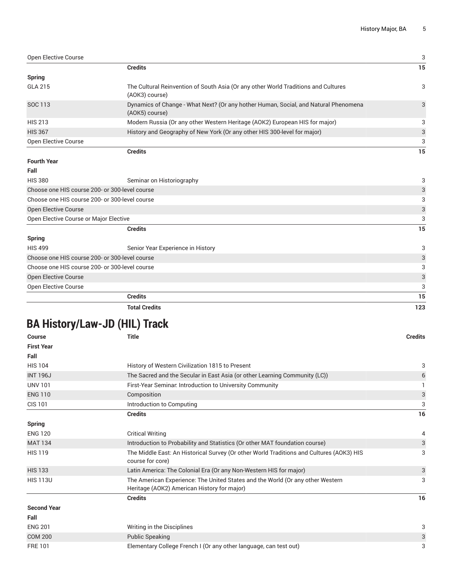| Open Elective Course                           |                                                                                                       | 3                         |
|------------------------------------------------|-------------------------------------------------------------------------------------------------------|---------------------------|
|                                                | <b>Credits</b>                                                                                        | 15                        |
| Spring                                         |                                                                                                       |                           |
| <b>GLA 215</b>                                 | The Cultural Reinvention of South Asia (Or any other World Traditions and Cultures<br>(AOK3) course)  | 3                         |
| SOC 113                                        | Dynamics of Change - What Next? (Or any hother Human, Social, and Natural Phenomena<br>(AOK5) course) | 3                         |
| <b>HIS 213</b>                                 | Modern Russia (Or any other Western Heritage (AOK2) European HIS for major)                           | 3                         |
| <b>HIS 367</b>                                 | History and Geography of New York (Or any other HIS 300-level for major)                              | 3                         |
| Open Elective Course                           |                                                                                                       | 3                         |
|                                                | <b>Credits</b>                                                                                        | 15                        |
| <b>Fourth Year</b>                             |                                                                                                       |                           |
| Fall                                           |                                                                                                       |                           |
| <b>HIS 380</b>                                 | Seminar on Historiography                                                                             | 3                         |
| Choose one HIS course 200- or 300-level course |                                                                                                       | $\ensuremath{\mathsf{3}}$ |
| Choose one HIS course 200- or 300-level course |                                                                                                       | 3                         |
| <b>Open Elective Course</b>                    |                                                                                                       | $\ensuremath{\mathsf{3}}$ |
| Open Elective Course or Major Elective         |                                                                                                       | 3                         |
|                                                | <b>Credits</b>                                                                                        | 15                        |
| <b>Spring</b>                                  |                                                                                                       |                           |
| <b>HIS 499</b>                                 | Senior Year Experience in History                                                                     | 3                         |
| Choose one HIS course 200- or 300-level course |                                                                                                       | $\ensuremath{\mathsf{3}}$ |
| Choose one HIS course 200- or 300-level course |                                                                                                       | 3                         |
| <b>Open Elective Course</b>                    |                                                                                                       | $\ensuremath{\mathsf{3}}$ |
| Open Elective Course                           |                                                                                                       | 3                         |
|                                                | <b>Credits</b>                                                                                        | 15                        |
|                                                | <b>Total Credits</b>                                                                                  | 123                       |

## **BA History/Law-JD (HIL) Track**

| <b>Course</b>      | <b>Title</b>                                                                                                                  | <b>Credits</b> |
|--------------------|-------------------------------------------------------------------------------------------------------------------------------|----------------|
| <b>First Year</b>  |                                                                                                                               |                |
| Fall               |                                                                                                                               |                |
| <b>HIS 104</b>     | History of Western Civilization 1815 to Present                                                                               | 3              |
| <b>INT 196J</b>    | The Sacred and the Secular in East Asia (or other Learning Community (LC))                                                    | 6              |
| <b>UNV 101</b>     | First-Year Seminar. Introduction to University Community                                                                      |                |
| <b>ENG 110</b>     | Composition                                                                                                                   | 3              |
| <b>CIS 101</b>     | Introduction to Computing                                                                                                     | 3              |
|                    | <b>Credits</b>                                                                                                                | 16             |
| <b>Spring</b>      |                                                                                                                               |                |
| <b>ENG 120</b>     | <b>Critical Writing</b>                                                                                                       | 4              |
| <b>MAT 134</b>     | Introduction to Probability and Statistics (Or other MAT foundation course)                                                   | 3              |
| <b>HIS 119</b>     | The Middle East: An Historical Survey (Or other World Traditions and Cultures (AOK3) HIS<br>course for core)                  | 3              |
| <b>HIS 133</b>     | Latin America: The Colonial Era (Or any Non-Western HIS for major)                                                            | 3              |
| <b>HIS 113U</b>    | The American Experience: The United States and the World (Or any other Western<br>Heritage (AOK2) American History for major) | 3              |
|                    | <b>Credits</b>                                                                                                                | 16             |
| <b>Second Year</b> |                                                                                                                               |                |
| Fall               |                                                                                                                               |                |
| <b>ENG 201</b>     | Writing in the Disciplines                                                                                                    | 3              |
| <b>COM 200</b>     | <b>Public Speaking</b>                                                                                                        | 3              |
| <b>FRE101</b>      | Elementary College French I (Or any other language, can test out)                                                             | 3              |